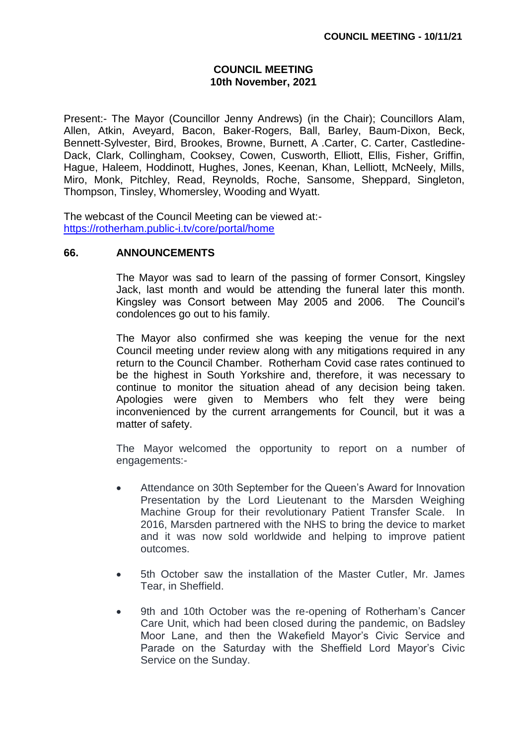## **COUNCIL MEETING 10th November, 2021**

Present:- The Mayor (Councillor Jenny Andrews) (in the Chair); Councillors Alam, Allen, Atkin, Aveyard, Bacon, Baker-Rogers, Ball, Barley, Baum-Dixon, Beck, Bennett-Sylvester, Bird, Brookes, Browne, Burnett, A .Carter, C. Carter, Castledine-Dack, Clark, Collingham, Cooksey, Cowen, Cusworth, Elliott, Ellis, Fisher, Griffin, Hague, Haleem, Hoddinott, Hughes, Jones, Keenan, Khan, Lelliott, McNeely, Mills, Miro, Monk, Pitchley, Read, Reynolds, Roche, Sansome, Sheppard, Singleton, Thompson, Tinsley, Whomersley, Wooding and Wyatt.

The webcast of the Council Meeting can be viewed at: <https://rotherham.public-i.tv/core/portal/home>

## **66. ANNOUNCEMENTS**

The Mayor was sad to learn of the passing of former Consort, Kingsley Jack, last month and would be attending the funeral later this month. Kingsley was Consort between May 2005 and 2006. The Council's condolences go out to his family.

The Mayor also confirmed she was keeping the venue for the next Council meeting under review along with any mitigations required in any return to the Council Chamber. Rotherham Covid case rates continued to be the highest in South Yorkshire and, therefore, it was necessary to continue to monitor the situation ahead of any decision being taken. Apologies were given to Members who felt they were being inconvenienced by the current arrangements for Council, but it was a matter of safety.

The Mayor welcomed the opportunity to report on a number of engagements:-

- Attendance on 30th September for the Queen's Award for Innovation Presentation by the Lord Lieutenant to the Marsden Weighing Machine Group for their revolutionary Patient Transfer Scale. In 2016, Marsden partnered with the NHS to bring the device to market and it was now sold worldwide and helping to improve patient outcomes.
- 5th October saw the installation of the Master Cutler, Mr. James Tear, in Sheffield.
- 9th and 10th October was the re-opening of Rotherham's Cancer Care Unit, which had been closed during the pandemic, on Badsley Moor Lane, and then the Wakefield Mayor's Civic Service and Parade on the Saturday with the Sheffield Lord Mayor's Civic Service on the Sunday.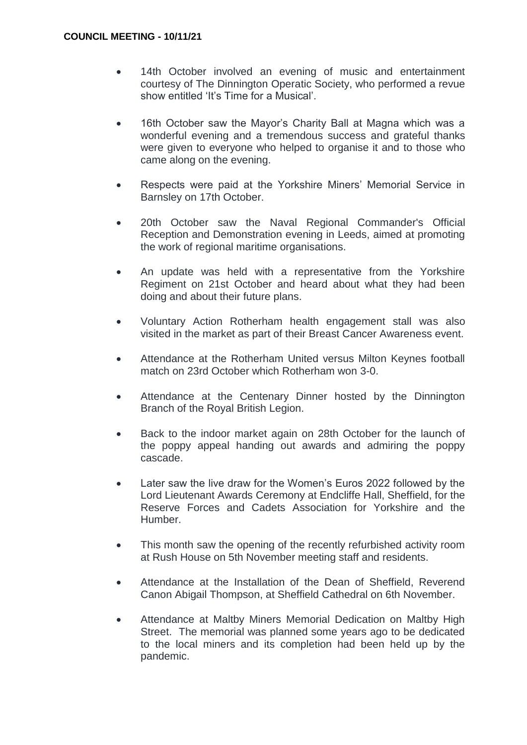- 14th October involved an evening of music and entertainment courtesy of The Dinnington Operatic Society, who performed a revue show entitled 'It's Time for a Musical'.
- 16th October saw the Mayor's Charity Ball at Magna which was a wonderful evening and a tremendous success and grateful thanks were given to everyone who helped to organise it and to those who came along on the evening.
- Respects were paid at the Yorkshire Miners' Memorial Service in Barnsley on 17th October.
- 20th October saw the Naval Regional Commander's Official Reception and Demonstration evening in Leeds, aimed at promoting the work of regional maritime organisations.
- An update was held with a representative from the Yorkshire Regiment on 21st October and heard about what they had been doing and about their future plans.
- Voluntary Action Rotherham health engagement stall was also visited in the market as part of their Breast Cancer Awareness event.
- Attendance at the Rotherham United versus Milton Keynes football match on 23rd October which Rotherham won 3-0.
- Attendance at the Centenary Dinner hosted by the Dinnington Branch of the Royal British Legion.
- Back to the indoor market again on 28th October for the launch of the poppy appeal handing out awards and admiring the poppy cascade.
- Later saw the live draw for the Women's Euros 2022 followed by the Lord Lieutenant Awards Ceremony at Endcliffe Hall, Sheffield, for the Reserve Forces and Cadets Association for Yorkshire and the Humber.
- This month saw the opening of the recently refurbished activity room at Rush House on 5th November meeting staff and residents.
- Attendance at the Installation of the Dean of Sheffield, Reverend Canon Abigail Thompson, at Sheffield Cathedral on 6th November.
- Attendance at Maltby Miners Memorial Dedication on Maltby High Street. The memorial was planned some years ago to be dedicated to the local miners and its completion had been held up by the pandemic.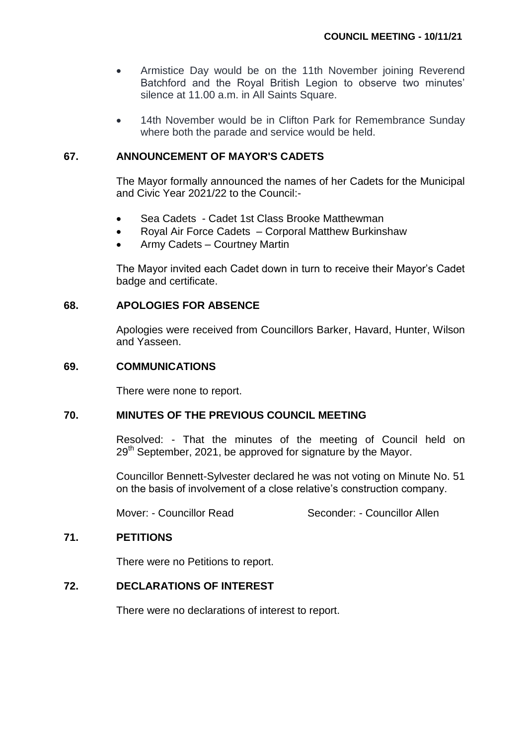- Armistice Day would be on the 11th November joining Reverend Batchford and the Royal British Legion to observe two minutes' silence at 11.00 a.m. in All Saints Square.
- 14th November would be in Clifton Park for Remembrance Sunday where both the parade and service would be held.

#### **67. ANNOUNCEMENT OF MAYOR'S CADETS**

The Mayor formally announced the names of her Cadets for the Municipal and Civic Year 2021/22 to the Council:-

- Sea Cadets Cadet 1st Class Brooke Matthewman
- Royal Air Force Cadets Corporal Matthew Burkinshaw
- Army Cadets Courtney Martin

The Mayor invited each Cadet down in turn to receive their Mayor's Cadet badge and certificate.

## **68. APOLOGIES FOR ABSENCE**

Apologies were received from Councillors Barker, Havard, Hunter, Wilson and Yasseen.

#### **69. COMMUNICATIONS**

There were none to report.

#### **70. MINUTES OF THE PREVIOUS COUNCIL MEETING**

Resolved: - That the minutes of the meeting of Council held on  $29<sup>th</sup>$  September, 2021, be approved for signature by the Mayor.

Councillor Bennett-Sylvester declared he was not voting on Minute No. 51 on the basis of involvement of a close relative's construction company.

Mover: - Councillor Read Seconder: - Councillor Allen

## **71. PETITIONS**

There were no Petitions to report.

## **72. DECLARATIONS OF INTEREST**

There were no declarations of interest to report.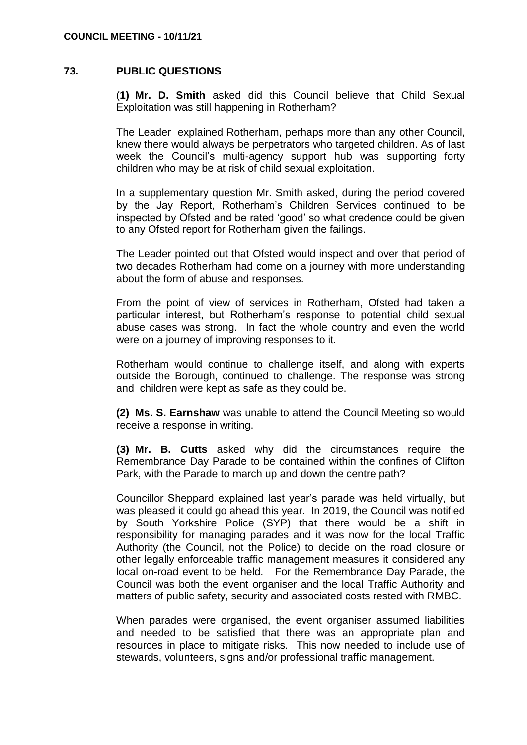## **73. PUBLIC QUESTIONS**

(**1) Mr. D. Smith** asked did this Council believe that Child Sexual Exploitation was still happening in Rotherham?

The Leader explained Rotherham, perhaps more than any other Council, knew there would always be perpetrators who targeted children. As of last week the Council's multi-agency support hub was supporting forty children who may be at risk of child sexual exploitation.

In a supplementary question Mr. Smith asked, during the period covered by the Jay Report, Rotherham's Children Services continued to be inspected by Ofsted and be rated 'good' so what credence could be given to any Ofsted report for Rotherham given the failings.

The Leader pointed out that Ofsted would inspect and over that period of two decades Rotherham had come on a journey with more understanding about the form of abuse and responses.

From the point of view of services in Rotherham, Ofsted had taken a particular interest, but Rotherham's response to potential child sexual abuse cases was strong. In fact the whole country and even the world were on a journey of improving responses to it.

Rotherham would continue to challenge itself, and along with experts outside the Borough, continued to challenge. The response was strong and children were kept as safe as they could be.

**(2) Ms. S. Earnshaw** was unable to attend the Council Meeting so would receive a response in writing.

**(3) Mr. B. Cutts** asked why did the circumstances require the Remembrance Day Parade to be contained within the confines of Clifton Park, with the Parade to march up and down the centre path?

Councillor Sheppard explained last year's parade was held virtually, but was pleased it could go ahead this year. In 2019, the Council was notified by South Yorkshire Police (SYP) that there would be a shift in responsibility for managing parades and it was now for the local Traffic Authority (the Council, not the Police) to decide on the road closure or other legally enforceable traffic management measures it considered any local on-road event to be held. For the Remembrance Day Parade, the Council was both the event organiser and the local Traffic Authority and matters of public safety, security and associated costs rested with RMBC.

When parades were organised, the event organiser assumed liabilities and needed to be satisfied that there was an appropriate plan and resources in place to mitigate risks. This now needed to include use of stewards, volunteers, signs and/or professional traffic management.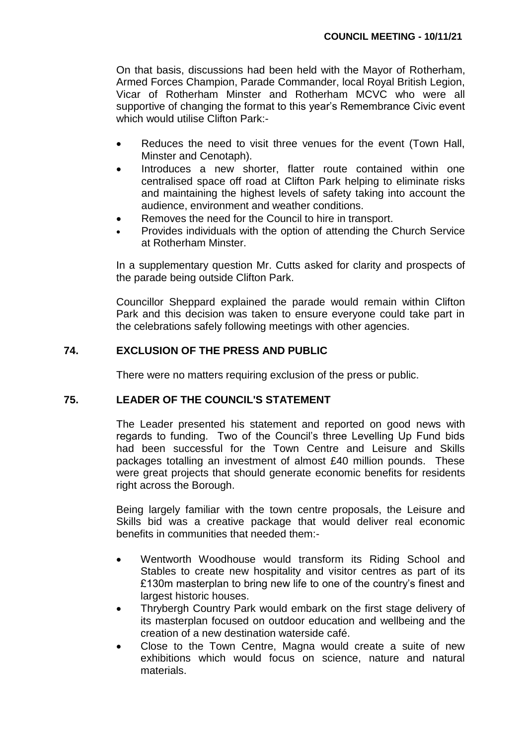On that basis, discussions had been held with the Mayor of Rotherham, Armed Forces Champion, Parade Commander, local Royal British Legion, Vicar of Rotherham Minster and Rotherham MCVC who were all supportive of changing the format to this year's Remembrance Civic event which would utilise Clifton Park:-

- Reduces the need to visit three venues for the event (Town Hall, Minster and Cenotaph).
- Introduces a new shorter, flatter route contained within one centralised space off road at Clifton Park helping to eliminate risks and maintaining the highest levels of safety taking into account the audience, environment and weather conditions.
- Removes the need for the Council to hire in transport.
- Provides individuals with the option of attending the Church Service at Rotherham Minster.

In a supplementary question Mr. Cutts asked for clarity and prospects of the parade being outside Clifton Park.

Councillor Sheppard explained the parade would remain within Clifton Park and this decision was taken to ensure everyone could take part in the celebrations safely following meetings with other agencies.

## **74. EXCLUSION OF THE PRESS AND PUBLIC**

There were no matters requiring exclusion of the press or public.

## **75. LEADER OF THE COUNCIL'S STATEMENT**

The Leader presented his statement and reported on good news with regards to funding. Two of the Council's three Levelling Up Fund bids had been successful for the Town Centre and Leisure and Skills packages totalling an investment of almost £40 million pounds. These were great projects that should generate economic benefits for residents right across the Borough.

Being largely familiar with the town centre proposals, the Leisure and Skills bid was a creative package that would deliver real economic benefits in communities that needed them:-

- Wentworth Woodhouse would transform its Riding School and Stables to create new hospitality and visitor centres as part of its £130m masterplan to bring new life to one of the country's finest and largest historic houses.
- Thrybergh Country Park would embark on the first stage delivery of its masterplan focused on outdoor education and wellbeing and the creation of a new destination waterside café.
- Close to the Town Centre, Magna would create a suite of new exhibitions which would focus on science, nature and natural materials.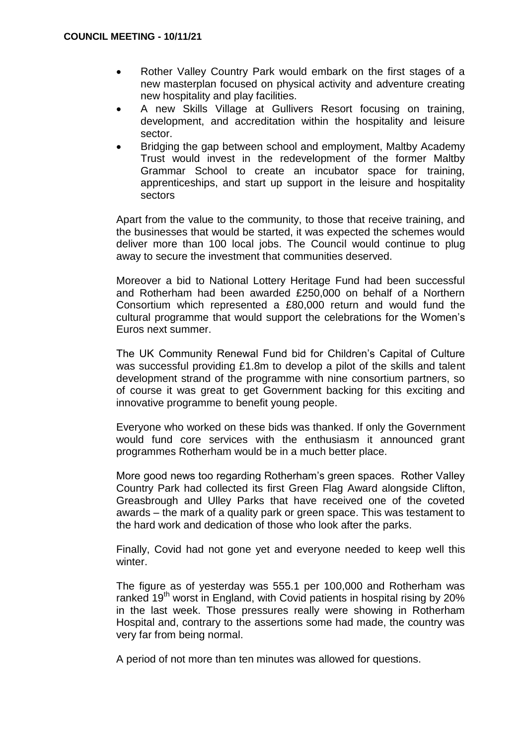- Rother Valley Country Park would embark on the first stages of a new masterplan focused on physical activity and adventure creating new hospitality and play facilities.
- A new Skills Village at Gullivers Resort focusing on training, development, and accreditation within the hospitality and leisure sector.
- Bridging the gap between school and employment, Maltby Academy Trust would invest in the redevelopment of the former Maltby Grammar School to create an incubator space for training, apprenticeships, and start up support in the leisure and hospitality sectors

Apart from the value to the community, to those that receive training, and the businesses that would be started, it was expected the schemes would deliver more than 100 local jobs. The Council would continue to plug away to secure the investment that communities deserved.

Moreover a bid to National Lottery Heritage Fund had been successful and Rotherham had been awarded £250,000 on behalf of a Northern Consortium which represented a £80,000 return and would fund the cultural programme that would support the celebrations for the Women's Euros next summer.

The UK Community Renewal Fund bid for Children's Capital of Culture was successful providing £1.8m to develop a pilot of the skills and talent development strand of the programme with nine consortium partners, so of course it was great to get Government backing for this exciting and innovative programme to benefit young people.

Everyone who worked on these bids was thanked. If only the Government would fund core services with the enthusiasm it announced grant programmes Rotherham would be in a much better place.

More good news too regarding Rotherham's green spaces. Rother Valley Country Park had collected its first Green Flag Award alongside Clifton, Greasbrough and Ulley Parks that have received one of the coveted awards – the mark of a quality park or green space. This was testament to the hard work and dedication of those who look after the parks.

Finally, Covid had not gone yet and everyone needed to keep well this winter.

The figure as of yesterday was 555.1 per 100,000 and Rotherham was ranked 19<sup>th</sup> worst in England, with Covid patients in hospital rising by 20% in the last week. Those pressures really were showing in Rotherham Hospital and, contrary to the assertions some had made, the country was very far from being normal.

A period of not more than ten minutes was allowed for questions.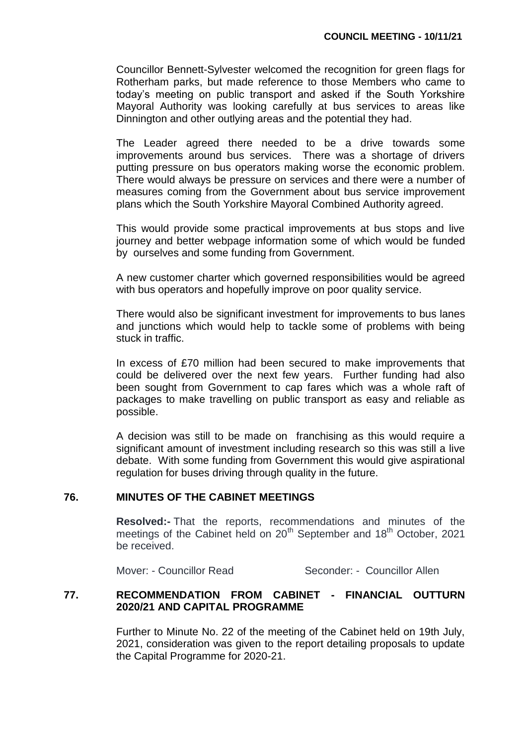Councillor Bennett-Sylvester welcomed the recognition for green flags for Rotherham parks, but made reference to those Members who came to today's meeting on public transport and asked if the South Yorkshire Mayoral Authority was looking carefully at bus services to areas like Dinnington and other outlying areas and the potential they had.

The Leader agreed there needed to be a drive towards some improvements around bus services. There was a shortage of drivers putting pressure on bus operators making worse the economic problem. There would always be pressure on services and there were a number of measures coming from the Government about bus service improvement plans which the South Yorkshire Mayoral Combined Authority agreed.

This would provide some practical improvements at bus stops and live journey and better webpage information some of which would be funded by ourselves and some funding from Government.

A new customer charter which governed responsibilities would be agreed with bus operators and hopefully improve on poor quality service.

There would also be significant investment for improvements to bus lanes and junctions which would help to tackle some of problems with being stuck in traffic.

In excess of £70 million had been secured to make improvements that could be delivered over the next few years. Further funding had also been sought from Government to cap fares which was a whole raft of packages to make travelling on public transport as easy and reliable as possible.

A decision was still to be made on franchising as this would require a significant amount of investment including research so this was still a live debate. With some funding from Government this would give aspirational regulation for buses driving through quality in the future.

## **76. MINUTES OF THE CABINET MEETINGS**

**Resolved:-** That the reports, recommendations and minutes of the meetings of the Cabinet held on 20<sup>th</sup> September and 18<sup>th</sup> October, 2021 be received.

Mover: - Councillor Read Seconder: - Councillor Allen

## **77. RECOMMENDATION FROM CABINET - FINANCIAL OUTTURN 2020/21 AND CAPITAL PROGRAMME**

Further to Minute No. 22 of the meeting of the Cabinet held on 19th July, 2021, consideration was given to the report detailing proposals to update the Capital Programme for 2020-21.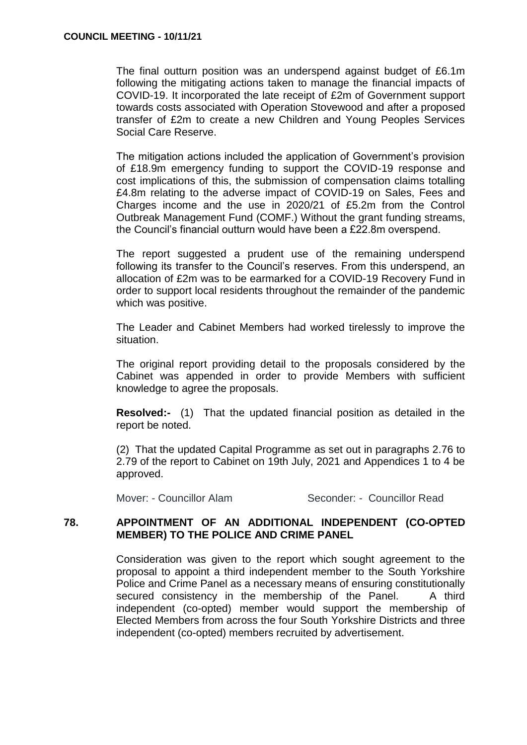The final outturn position was an underspend against budget of £6.1m following the mitigating actions taken to manage the financial impacts of COVID-19. It incorporated the late receipt of £2m of Government support towards costs associated with Operation Stovewood and after a proposed transfer of £2m to create a new Children and Young Peoples Services Social Care Reserve.

The mitigation actions included the application of Government's provision of £18.9m emergency funding to support the COVID-19 response and cost implications of this, the submission of compensation claims totalling £4.8m relating to the adverse impact of COVID-19 on Sales, Fees and Charges income and the use in 2020/21 of £5.2m from the Control Outbreak Management Fund (COMF.) Without the grant funding streams, the Council's financial outturn would have been a £22.8m overspend.

The report suggested a prudent use of the remaining underspend following its transfer to the Council's reserves. From this underspend, an allocation of £2m was to be earmarked for a COVID-19 Recovery Fund in order to support local residents throughout the remainder of the pandemic which was positive.

The Leader and Cabinet Members had worked tirelessly to improve the situation.

The original report providing detail to the proposals considered by the Cabinet was appended in order to provide Members with sufficient knowledge to agree the proposals.

**Resolved:-** (1) That the updated financial position as detailed in the report be noted.

(2) That the updated Capital Programme as set out in paragraphs 2.76 to 2.79 of the report to Cabinet on 19th July, 2021 and Appendices 1 to 4 be approved.

## Mover: - Councillor Alam Seconder: - Councillor Read

## **78. APPOINTMENT OF AN ADDITIONAL INDEPENDENT (CO-OPTED MEMBER) TO THE POLICE AND CRIME PANEL**

Consideration was given to the report which sought agreement to the proposal to appoint a third independent member to the South Yorkshire Police and Crime Panel as a necessary means of ensuring constitutionally secured consistency in the membership of the Panel. A third independent (co-opted) member would support the membership of Elected Members from across the four South Yorkshire Districts and three independent (co-opted) members recruited by advertisement.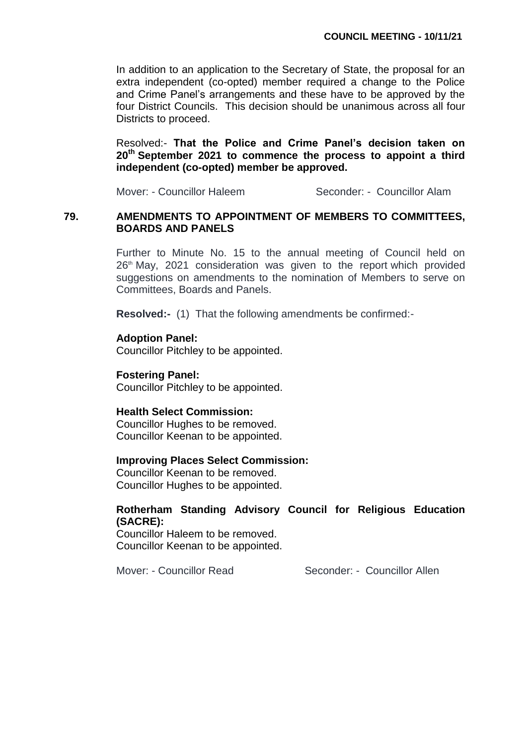In addition to an application to the Secretary of State, the proposal for an extra independent (co-opted) member required a change to the Police and Crime Panel's arrangements and these have to be approved by the four District Councils. This decision should be unanimous across all four Districts to proceed.

Resolved:- **That the Police and Crime Panel's decision taken on 20th September 2021 to commence the process to appoint a third independent (co-opted) member be approved.**

Mover: - Councillor Haleem Seconder: - Councillor Alam

#### **79. AMENDMENTS TO APPOINTMENT OF MEMBERS TO COMMITTEES, BOARDS AND PANELS**

Further to Minute No. 15 to the annual meeting of Council held on  $26<sup>th</sup>$  May, 2021 consideration was given to the report which provided suggestions on amendments to the nomination of Members to serve on Committees, Boards and Panels.

**Resolved:-** (1) That the following amendments be confirmed:-

#### **Adoption Panel:**

Councillor Pitchley to be appointed.

#### **Fostering Panel:**

Councillor Pitchley to be appointed.

#### **Health Select Commission:**

Councillor Hughes to be removed. Councillor Keenan to be appointed.

#### **Improving Places Select Commission:**

Councillor Keenan to be removed. Councillor Hughes to be appointed.

#### **Rotherham Standing Advisory Council for Religious Education (SACRE):**

Councillor Haleem to be removed. Councillor Keenan to be appointed.

Mover: - Councillor Read Seconder: - Councillor Allen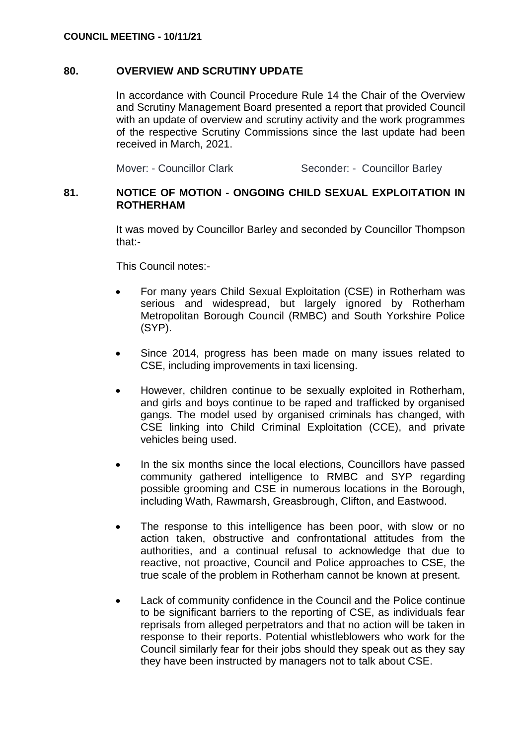## **80. OVERVIEW AND SCRUTINY UPDATE**

In accordance with Council Procedure Rule 14 the Chair of the Overview and Scrutiny Management Board presented a report that provided Council with an update of overview and scrutiny activity and the work programmes of the respective Scrutiny Commissions since the last update had been received in March, 2021.

Mover: - Councillor Clark Seconder: - Councillor Barley

## **81. NOTICE OF MOTION - ONGOING CHILD SEXUAL EXPLOITATION IN ROTHERHAM**

It was moved by Councillor Barley and seconded by Councillor Thompson that:-

This Council notes:-

- For many years Child Sexual Exploitation (CSE) in Rotherham was serious and widespread, but largely ignored by Rotherham Metropolitan Borough Council (RMBC) and South Yorkshire Police (SYP).
- Since 2014, progress has been made on many issues related to CSE, including improvements in taxi licensing.
- However, children continue to be sexually exploited in Rotherham, and girls and boys continue to be raped and trafficked by organised gangs. The model used by organised criminals has changed, with CSE linking into Child Criminal Exploitation (CCE), and private vehicles being used.
- In the six months since the local elections, Councillors have passed community gathered intelligence to RMBC and SYP regarding possible grooming and CSE in numerous locations in the Borough, including Wath, Rawmarsh, Greasbrough, Clifton, and Eastwood.
- The response to this intelligence has been poor, with slow or no action taken, obstructive and confrontational attitudes from the authorities, and a continual refusal to acknowledge that due to reactive, not proactive, Council and Police approaches to CSE, the true scale of the problem in Rotherham cannot be known at present.
- Lack of community confidence in the Council and the Police continue to be significant barriers to the reporting of CSE, as individuals fear reprisals from alleged perpetrators and that no action will be taken in response to their reports. Potential whistleblowers who work for the Council similarly fear for their jobs should they speak out as they say they have been instructed by managers not to talk about CSE.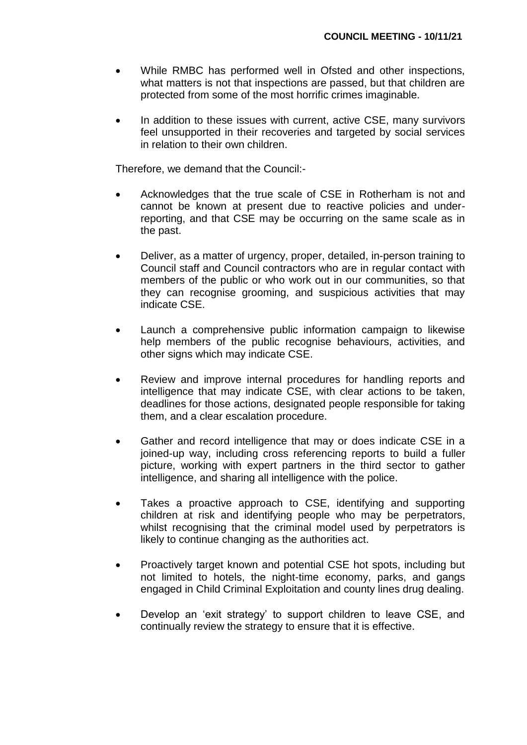- While RMBC has performed well in Ofsted and other inspections, what matters is not that inspections are passed, but that children are protected from some of the most horrific crimes imaginable.
- In addition to these issues with current, active CSE, many survivors feel unsupported in their recoveries and targeted by social services in relation to their own children.

Therefore, we demand that the Council:-

- Acknowledges that the true scale of CSE in Rotherham is not and cannot be known at present due to reactive policies and underreporting, and that CSE may be occurring on the same scale as in the past.
- Deliver, as a matter of urgency, proper, detailed, in-person training to Council staff and Council contractors who are in regular contact with members of the public or who work out in our communities, so that they can recognise grooming, and suspicious activities that may indicate CSE.
- Launch a comprehensive public information campaign to likewise help members of the public recognise behaviours, activities, and other signs which may indicate CSE.
- Review and improve internal procedures for handling reports and intelligence that may indicate CSE, with clear actions to be taken, deadlines for those actions, designated people responsible for taking them, and a clear escalation procedure.
- Gather and record intelligence that may or does indicate CSE in a joined-up way, including cross referencing reports to build a fuller picture, working with expert partners in the third sector to gather intelligence, and sharing all intelligence with the police.
- Takes a proactive approach to CSE, identifying and supporting children at risk and identifying people who may be perpetrators, whilst recognising that the criminal model used by perpetrators is likely to continue changing as the authorities act.
- Proactively target known and potential CSE hot spots, including but not limited to hotels, the night-time economy, parks, and gangs engaged in Child Criminal Exploitation and county lines drug dealing.
- Develop an 'exit strategy' to support children to leave CSE, and continually review the strategy to ensure that it is effective.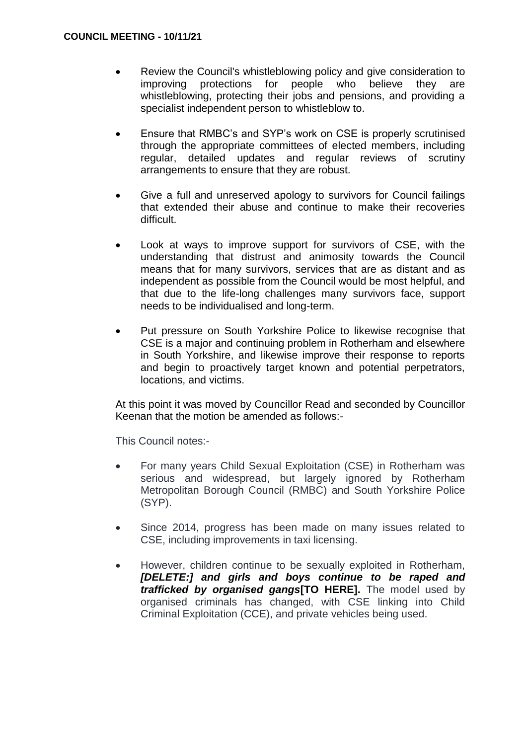- Review the Council's whistleblowing policy and give consideration to improving protections for people who believe they are whistleblowing, protecting their jobs and pensions, and providing a specialist independent person to whistleblow to.
- Ensure that RMBC's and SYP's work on CSE is properly scrutinised through the appropriate committees of elected members, including regular, detailed updates and regular reviews of scrutiny arrangements to ensure that they are robust.
- Give a full and unreserved apology to survivors for Council failings that extended their abuse and continue to make their recoveries difficult.
- Look at ways to improve support for survivors of CSE, with the understanding that distrust and animosity towards the Council means that for many survivors, services that are as distant and as independent as possible from the Council would be most helpful, and that due to the life-long challenges many survivors face, support needs to be individualised and long-term.
- Put pressure on South Yorkshire Police to likewise recognise that CSE is a major and continuing problem in Rotherham and elsewhere in South Yorkshire, and likewise improve their response to reports and begin to proactively target known and potential perpetrators, locations, and victims.

At this point it was moved by Councillor Read and seconded by Councillor Keenan that the motion be amended as follows:-

This Council notes:-

- For many years Child Sexual Exploitation (CSE) in Rotherham was serious and widespread, but largely ignored by Rotherham Metropolitan Borough Council (RMBC) and South Yorkshire Police (SYP).
- Since 2014, progress has been made on many issues related to CSE, including improvements in taxi licensing.
- However, children continue to be sexually exploited in Rotherham, *[DELETE:] and girls and boys continue to be raped and trafficked by organised gangs***[TO HERE].** The model used by organised criminals has changed, with CSE linking into Child Criminal Exploitation (CCE), and private vehicles being used.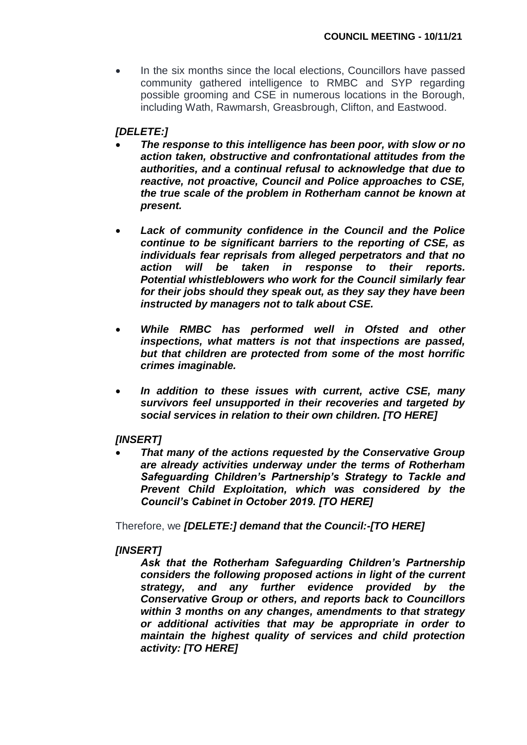• In the six months since the local elections, Councillors have passed community gathered intelligence to RMBC and SYP regarding possible grooming and CSE in numerous locations in the Borough, including Wath, Rawmarsh, Greasbrough, Clifton, and Eastwood.

## *[DELETE:]*

- *The response to this intelligence has been poor, with slow or no action taken, obstructive and confrontational attitudes from the authorities, and a continual refusal to acknowledge that due to reactive, not proactive, Council and Police approaches to CSE, the true scale of the problem in Rotherham cannot be known at present.*
- *Lack of community confidence in the Council and the Police continue to be significant barriers to the reporting of CSE, as individuals fear reprisals from alleged perpetrators and that no action will be taken in response to their reports. Potential whistleblowers who work for the Council similarly fear for their jobs should they speak out, as they say they have been instructed by managers not to talk about CSE.*
- *While RMBC has performed well in Ofsted and other inspections, what matters is not that inspections are passed, but that children are protected from some of the most horrific crimes imaginable.*
- *In addition to these issues with current, active CSE, many survivors feel unsupported in their recoveries and targeted by social services in relation to their own children. [TO HERE]*

## *[INSERT]*

 *That many of the actions requested by the Conservative Group are already activities underway under the terms of Rotherham Safeguarding Children's Partnership's Strategy to Tackle and Prevent Child Exploitation, which was considered by the Council's Cabinet in October 2019. [TO HERE]*

Therefore, we *[DELETE:] demand that the Council:-[TO HERE]*

## *[INSERT]*

*Ask that the Rotherham Safeguarding Children's Partnership considers the following proposed actions in light of the current strategy, and any further evidence provided by the Conservative Group or others, and reports back to Councillors within 3 months on any changes, amendments to that strategy or additional activities that may be appropriate in order to maintain the highest quality of services and child protection activity: [TO HERE]*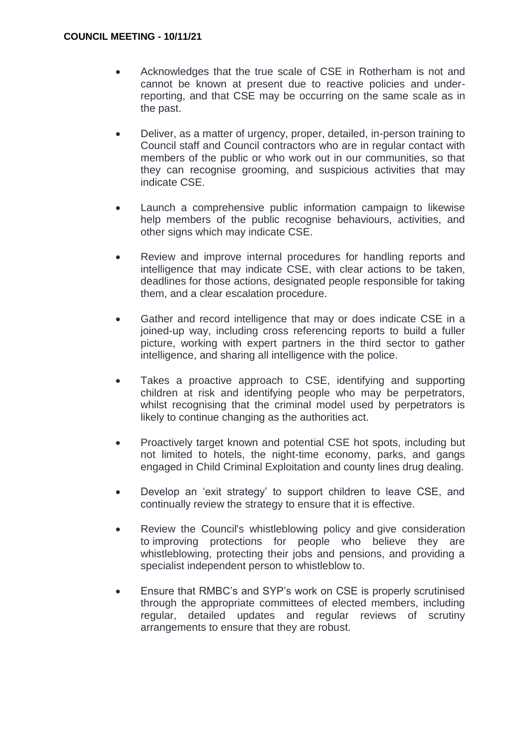- Acknowledges that the true scale of CSE in Rotherham is not and cannot be known at present due to reactive policies and underreporting, and that CSE may be occurring on the same scale as in the past.
- Deliver, as a matter of urgency, proper, detailed, in-person training to Council staff and Council contractors who are in regular contact with members of the public or who work out in our communities, so that they can recognise grooming, and suspicious activities that may indicate CSE.
- Launch a comprehensive public information campaign to likewise help members of the public recognise behaviours, activities, and other signs which may indicate CSE.
- Review and improve internal procedures for handling reports and intelligence that may indicate CSE, with clear actions to be taken, deadlines for those actions, designated people responsible for taking them, and a clear escalation procedure.
- Gather and record intelligence that may or does indicate CSE in a joined-up way, including cross referencing reports to build a fuller picture, working with expert partners in the third sector to gather intelligence, and sharing all intelligence with the police.
- Takes a proactive approach to CSE, identifying and supporting children at risk and identifying people who may be perpetrators, whilst recognising that the criminal model used by perpetrators is likely to continue changing as the authorities act.
- Proactively target known and potential CSE hot spots, including but not limited to hotels, the night-time economy, parks, and gangs engaged in Child Criminal Exploitation and county lines drug dealing.
- Develop an 'exit strategy' to support children to leave CSE, and continually review the strategy to ensure that it is effective.
- Review the Council's whistleblowing policy and give consideration to improving protections for people who believe they are whistleblowing, protecting their jobs and pensions, and providing a specialist independent person to whistleblow to.
- Ensure that RMBC's and SYP's work on CSE is properly scrutinised through the appropriate committees of elected members, including regular, detailed updates and regular reviews of scrutiny arrangements to ensure that they are robust.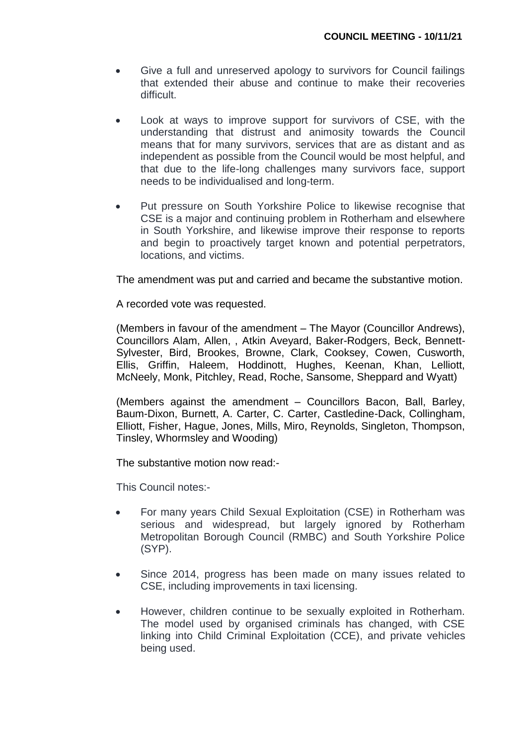- Give a full and unreserved apology to survivors for Council failings that extended their abuse and continue to make their recoveries difficult.
- Look at ways to improve support for survivors of CSE, with the understanding that distrust and animosity towards the Council means that for many survivors, services that are as distant and as independent as possible from the Council would be most helpful, and that due to the life-long challenges many survivors face, support needs to be individualised and long-term.
- Put pressure on South Yorkshire Police to likewise recognise that CSE is a major and continuing problem in Rotherham and elsewhere in South Yorkshire, and likewise improve their response to reports and begin to proactively target known and potential perpetrators, locations, and victims.

The amendment was put and carried and became the substantive motion.

A recorded vote was requested.

(Members in favour of the amendment – The Mayor (Councillor Andrews), Councillors Alam, Allen, , Atkin Aveyard, Baker-Rodgers, Beck, Bennett-Sylvester, Bird, Brookes, Browne, Clark, Cooksey, Cowen, Cusworth, Ellis, Griffin, Haleem, Hoddinott, Hughes, Keenan, Khan, Lelliott, McNeely, Monk, Pitchley, Read, Roche, Sansome, Sheppard and Wyatt)

(Members against the amendment – Councillors Bacon, Ball, Barley, Baum-Dixon, Burnett, A. Carter, C. Carter, Castledine-Dack, Collingham, Elliott, Fisher, Hague, Jones, Mills, Miro, Reynolds, Singleton, Thompson, Tinsley, Whormsley and Wooding)

The substantive motion now read:-

This Council notes:-

- For many years Child Sexual Exploitation (CSE) in Rotherham was serious and widespread, but largely ignored by Rotherham Metropolitan Borough Council (RMBC) and South Yorkshire Police (SYP).
- Since 2014, progress has been made on many issues related to CSE, including improvements in taxi licensing.
- However, children continue to be sexually exploited in Rotherham. The model used by organised criminals has changed, with CSE linking into Child Criminal Exploitation (CCE), and private vehicles being used.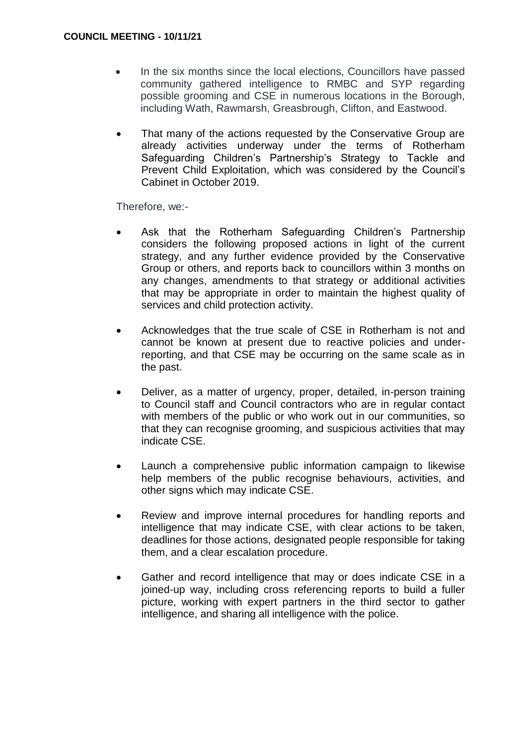- In the six months since the local elections, Councillors have passed community gathered intelligence to RMBC and SYP regarding possible grooming and CSE in numerous locations in the Borough, including Wath, Rawmarsh, Greasbrough, Clifton, and Eastwood.
- That many of the actions requested by the Conservative Group are already activities underway under the terms of Rotherham Safeguarding Children's Partnership's Strategy to Tackle and Prevent Child Exploitation, which was considered by the Council's Cabinet in October 2019.

Therefore, we:-

- Ask that the Rotherham Safeguarding Children's Partnership considers the following proposed actions in light of the current strategy, and any further evidence provided by the Conservative Group or others, and reports back to councillors within 3 months on any changes, amendments to that strategy or additional activities that may be appropriate in order to maintain the highest quality of services and child protection activity.
- Acknowledges that the true scale of CSE in Rotherham is not and cannot be known at present due to reactive policies and underreporting, and that CSE may be occurring on the same scale as in the past.
- Deliver, as a matter of urgency, proper, detailed, in-person training to Council staff and Council contractors who are in regular contact with members of the public or who work out in our communities, so that they can recognise grooming, and suspicious activities that may indicate CSE.
- Launch a comprehensive public information campaign to likewise help members of the public recognise behaviours, activities, and other signs which may indicate CSE.
- Review and improve internal procedures for handling reports and intelligence that may indicate CSE, with clear actions to be taken, deadlines for those actions, designated people responsible for taking them, and a clear escalation procedure.
- Gather and record intelligence that may or does indicate CSE in a joined-up way, including cross referencing reports to build a fuller picture, working with expert partners in the third sector to gather intelligence, and sharing all intelligence with the police.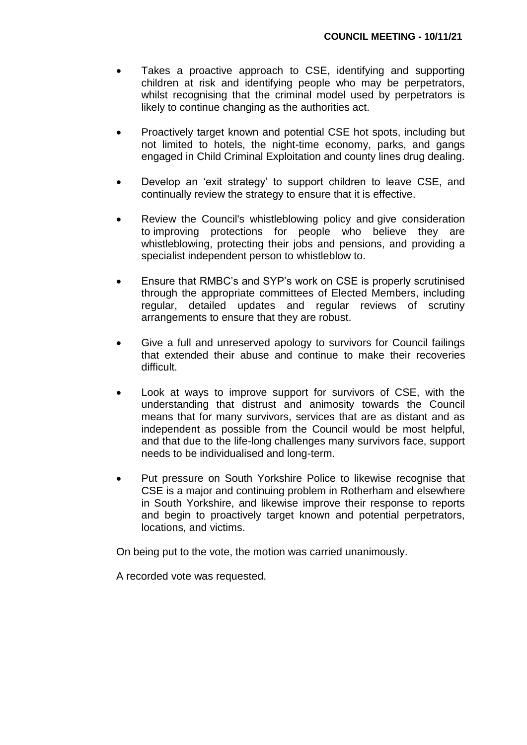- Takes a proactive approach to CSE, identifying and supporting children at risk and identifying people who may be perpetrators, whilst recognising that the criminal model used by perpetrators is likely to continue changing as the authorities act.
- Proactively target known and potential CSE hot spots, including but not limited to hotels, the night-time economy, parks, and gangs engaged in Child Criminal Exploitation and county lines drug dealing.
- Develop an 'exit strategy' to support children to leave CSE, and continually review the strategy to ensure that it is effective.
- Review the Council's whistleblowing policy and give consideration to improving protections for people who believe they are whistleblowing, protecting their jobs and pensions, and providing a specialist independent person to whistleblow to.
- Ensure that RMBC's and SYP's work on CSE is properly scrutinised through the appropriate committees of Elected Members, including regular, detailed updates and regular reviews of scrutiny arrangements to ensure that they are robust.
- Give a full and unreserved apology to survivors for Council failings that extended their abuse and continue to make their recoveries difficult.
- Look at ways to improve support for survivors of CSE, with the understanding that distrust and animosity towards the Council means that for many survivors, services that are as distant and as independent as possible from the Council would be most helpful, and that due to the life-long challenges many survivors face, support needs to be individualised and long-term.
- Put pressure on South Yorkshire Police to likewise recognise that CSE is a major and continuing problem in Rotherham and elsewhere in South Yorkshire, and likewise improve their response to reports and begin to proactively target known and potential perpetrators, locations, and victims.

On being put to the vote, the motion was carried unanimously.

A recorded vote was requested.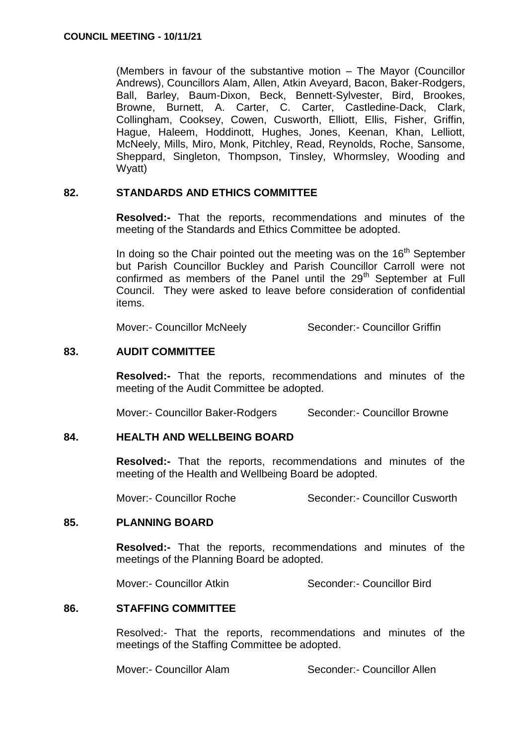(Members in favour of the substantive motion – The Mayor (Councillor Andrews), Councillors Alam, Allen, Atkin Aveyard, Bacon, Baker-Rodgers, Ball, Barley, Baum-Dixon, Beck, Bennett-Sylvester, Bird, Brookes, Browne, Burnett, A. Carter, C. Carter, Castledine-Dack, Clark, Collingham, Cooksey, Cowen, Cusworth, Elliott, Ellis, Fisher, Griffin, Hague, Haleem, Hoddinott, Hughes, Jones, Keenan, Khan, Lelliott, McNeely, Mills, Miro, Monk, Pitchley, Read, Reynolds, Roche, Sansome, Sheppard, Singleton, Thompson, Tinsley, Whormsley, Wooding and Wyatt)

## **82. STANDARDS AND ETHICS COMMITTEE**

**Resolved:-** That the reports, recommendations and minutes of the meeting of the Standards and Ethics Committee be adopted.

In doing so the Chair pointed out the meeting was on the  $16<sup>th</sup>$  September but Parish Councillor Buckley and Parish Councillor Carroll were not confirmed as members of the Panel until the  $29<sup>th</sup>$  September at Full Council. They were asked to leave before consideration of confidential items.

Mover:- Councillor McNeely Seconder:- Councillor Griffin

## **83. AUDIT COMMITTEE**

**Resolved:-** That the reports, recommendations and minutes of the meeting of the Audit Committee be adopted.

Mover:- Councillor Baker-Rodgers Seconder:- Councillor Browne

#### **84. HEALTH AND WELLBEING BOARD**

**Resolved:-** That the reports, recommendations and minutes of the meeting of the Health and Wellbeing Board be adopted.

Mover:- Councillor Roche Seconder:- Councillor Cusworth

#### **85. PLANNING BOARD**

**Resolved:-** That the reports, recommendations and minutes of the meetings of the Planning Board be adopted.

Mover:- Councillor Atkin Seconder:- Councillor Bird

## **86. STAFFING COMMITTEE**

Resolved:- That the reports, recommendations and minutes of the meetings of the Staffing Committee be adopted.

Mover:- Councillor Alam Seconder:- Councillor Allen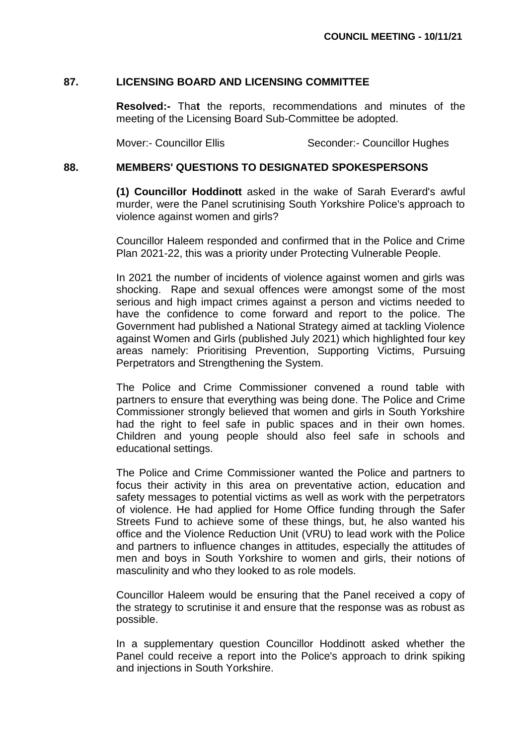## **87. LICENSING BOARD AND LICENSING COMMITTEE**

**Resolved:-** Tha**t** the reports, recommendations and minutes of the meeting of the Licensing Board Sub-Committee be adopted.

Mover:- Councillor Ellis Seconder:- Councillor Hughes

#### **88. MEMBERS' QUESTIONS TO DESIGNATED SPOKESPERSONS**

**(1) Councillor Hoddinott** asked in the wake of Sarah Everard's awful murder, were the Panel scrutinising South Yorkshire Police's approach to violence against women and girls?

Councillor Haleem responded and confirmed that in the Police and Crime Plan 2021-22, this was a priority under Protecting Vulnerable People.

In 2021 the number of incidents of violence against women and girls was shocking. Rape and sexual offences were amongst some of the most serious and high impact crimes against a person and victims needed to have the confidence to come forward and report to the police. The Government had published a National Strategy aimed at tackling Violence against Women and Girls (published July 2021) which highlighted four key areas namely: Prioritising Prevention, Supporting Victims, Pursuing Perpetrators and Strengthening the System.

The Police and Crime Commissioner convened a round table with partners to ensure that everything was being done. The Police and Crime Commissioner strongly believed that women and girls in South Yorkshire had the right to feel safe in public spaces and in their own homes. Children and young people should also feel safe in schools and educational settings.

The Police and Crime Commissioner wanted the Police and partners to focus their activity in this area on preventative action, education and safety messages to potential victims as well as work with the perpetrators of violence. He had applied for Home Office funding through the Safer Streets Fund to achieve some of these things, but, he also wanted his office and the Violence Reduction Unit (VRU) to lead work with the Police and partners to influence changes in attitudes, especially the attitudes of men and boys in South Yorkshire to women and girls, their notions of masculinity and who they looked to as role models.

Councillor Haleem would be ensuring that the Panel received a copy of the strategy to scrutinise it and ensure that the response was as robust as possible.

In a supplementary question Councillor Hoddinott asked whether the Panel could receive a report into the Police's approach to drink spiking and injections in South Yorkshire.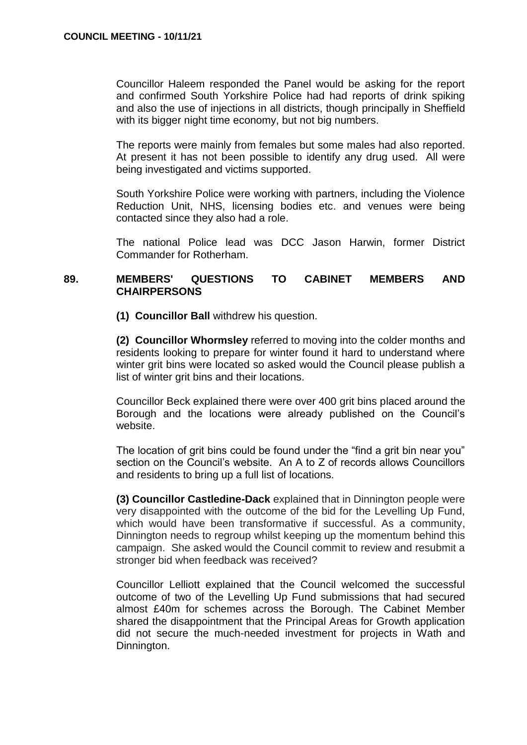Councillor Haleem responded the Panel would be asking for the report and confirmed South Yorkshire Police had had reports of drink spiking and also the use of injections in all districts, though principally in Sheffield with its bigger night time economy, but not big numbers.

The reports were mainly from females but some males had also reported. At present it has not been possible to identify any drug used. All were being investigated and victims supported.

South Yorkshire Police were working with partners, including the Violence Reduction Unit, NHS, licensing bodies etc. and venues were being contacted since they also had a role.

The national Police lead was DCC Jason Harwin, former District Commander for Rotherham.

## **89. MEMBERS' QUESTIONS TO CABINET MEMBERS AND CHAIRPERSONS**

**(1) Councillor Ball** withdrew his question.

**(2) Councillor Whormsley** referred to moving into the colder months and residents looking to prepare for winter found it hard to understand where winter grit bins were located so asked would the Council please publish a list of winter grit bins and their locations.

Councillor Beck explained there were over 400 grit bins placed around the Borough and the locations were already published on the Council's website.

The location of grit bins could be found under the "find a grit bin near you" section on the Council's website. An A to Z of records allows Councillors and residents to bring up a full list of locations.

**(3) Councillor Castledine-Dack** explained that in Dinnington people were very disappointed with the outcome of the bid for the Levelling Up Fund, which would have been transformative if successful. As a community, Dinnington needs to regroup whilst keeping up the momentum behind this campaign. She asked would the Council commit to review and resubmit a stronger bid when feedback was received?

Councillor Lelliott explained that the Council welcomed the successful outcome of two of the Levelling Up Fund submissions that had secured almost £40m for schemes across the Borough. The Cabinet Member shared the disappointment that the Principal Areas for Growth application did not secure the much-needed investment for projects in Wath and Dinnington.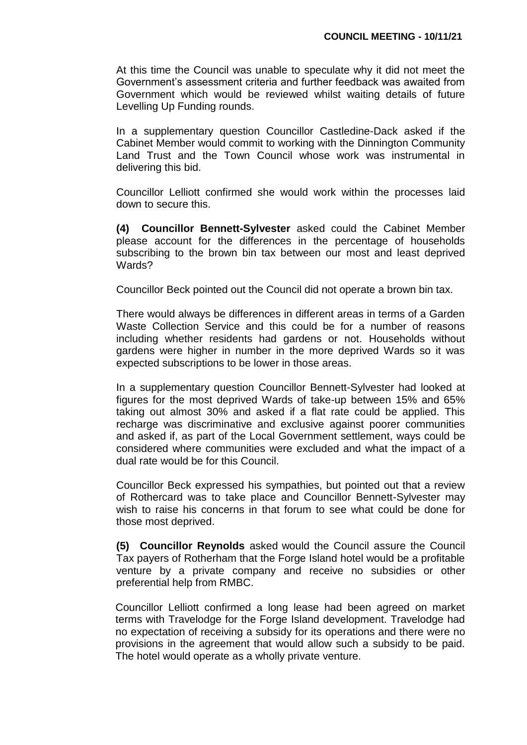At this time the Council was unable to speculate why it did not meet the Government's assessment criteria and further feedback was awaited from Government which would be reviewed whilst waiting details of future Levelling Up Funding rounds.

In a supplementary question Councillor Castledine-Dack asked if the Cabinet Member would commit to working with the Dinnington Community Land Trust and the Town Council whose work was instrumental in delivering this bid.

Councillor Lelliott confirmed she would work within the processes laid down to secure this.

**(4) Councillor Bennett-Sylvester** asked could the Cabinet Member please account for the differences in the percentage of households subscribing to the brown bin tax between our most and least deprived Wards?

Councillor Beck pointed out the Council did not operate a brown bin tax.

There would always be differences in different areas in terms of a Garden Waste Collection Service and this could be for a number of reasons including whether residents had gardens or not. Households without gardens were higher in number in the more deprived Wards so it was expected subscriptions to be lower in those areas.

In a supplementary question Councillor Bennett-Sylvester had looked at figures for the most deprived Wards of take-up between 15% and 65% taking out almost 30% and asked if a flat rate could be applied. This recharge was discriminative and exclusive against poorer communities and asked if, as part of the Local Government settlement, ways could be considered where communities were excluded and what the impact of a dual rate would be for this Council.

Councillor Beck expressed his sympathies, but pointed out that a review of Rothercard was to take place and Councillor Bennett-Sylvester may wish to raise his concerns in that forum to see what could be done for those most deprived.

**(5) Councillor Reynolds** asked would the Council assure the Council Tax payers of Rotherham that the Forge Island hotel would be a profitable venture by a private company and receive no subsidies or other preferential help from RMBC.

Councillor Lelliott confirmed a long lease had been agreed on market terms with Travelodge for the Forge Island development. Travelodge had no expectation of receiving a subsidy for its operations and there were no provisions in the agreement that would allow such a subsidy to be paid. The hotel would operate as a wholly private venture.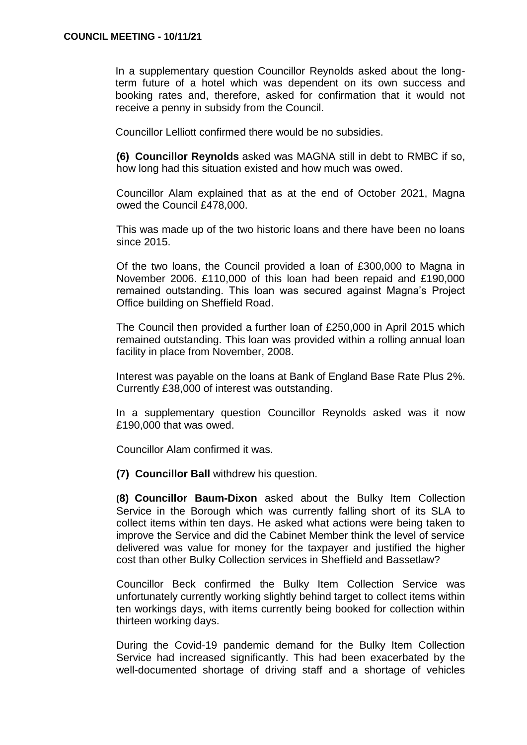In a supplementary question Councillor Reynolds asked about the longterm future of a hotel which was dependent on its own success and booking rates and, therefore, asked for confirmation that it would not receive a penny in subsidy from the Council.

Councillor Lelliott confirmed there would be no subsidies.

**(6) Councillor Reynolds** asked was MAGNA still in debt to RMBC if so, how long had this situation existed and how much was owed.

Councillor Alam explained that as at the end of October 2021, Magna owed the Council £478,000.

This was made up of the two historic loans and there have been no loans since 2015.

Of the two loans, the Council provided a loan of £300,000 to Magna in November 2006. £110,000 of this loan had been repaid and £190,000 remained outstanding. This loan was secured against Magna's Project Office building on Sheffield Road.

The Council then provided a further loan of £250,000 in April 2015 which remained outstanding. This loan was provided within a rolling annual loan facility in place from November, 2008.

Interest was payable on the loans at Bank of England Base Rate Plus 2%. Currently £38,000 of interest was outstanding.

In a supplementary question Councillor Reynolds asked was it now £190,000 that was owed.

Councillor Alam confirmed it was.

**(7) Councillor Ball** withdrew his question.

**(8) Councillor Baum-Dixon** asked about the Bulky Item Collection Service in the Borough which was currently falling short of its SLA to collect items within ten days. He asked what actions were being taken to improve the Service and did the Cabinet Member think the level of service delivered was value for money for the taxpayer and justified the higher cost than other Bulky Collection services in Sheffield and Bassetlaw?

Councillor Beck confirmed the Bulky Item Collection Service was unfortunately currently working slightly behind target to collect items within ten workings days, with items currently being booked for collection within thirteen working days.

During the Covid-19 pandemic demand for the Bulky Item Collection Service had increased significantly. This had been exacerbated by the well-documented shortage of driving staff and a shortage of vehicles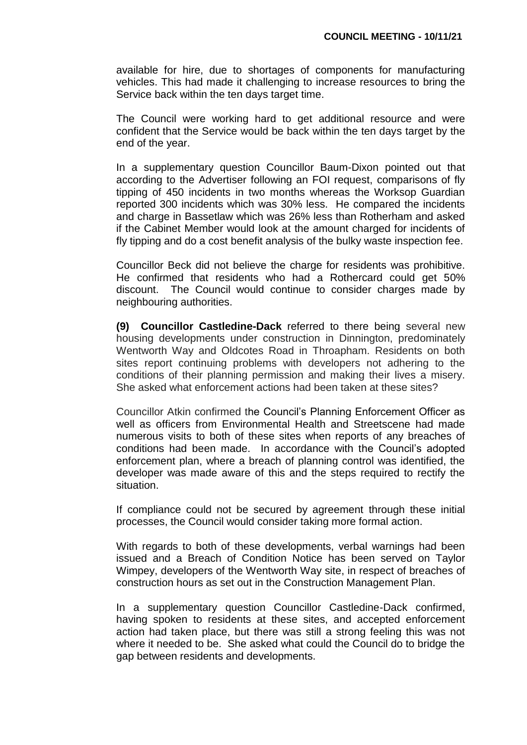available for hire, due to shortages of components for manufacturing vehicles. This had made it challenging to increase resources to bring the Service back within the ten days target time.

The Council were working hard to get additional resource and were confident that the Service would be back within the ten days target by the end of the year.

In a supplementary question Councillor Baum-Dixon pointed out that according to the Advertiser following an FOI request, comparisons of fly tipping of 450 incidents in two months whereas the Worksop Guardian reported 300 incidents which was 30% less. He compared the incidents and charge in Bassetlaw which was 26% less than Rotherham and asked if the Cabinet Member would look at the amount charged for incidents of fly tipping and do a cost benefit analysis of the bulky waste inspection fee.

Councillor Beck did not believe the charge for residents was prohibitive. He confirmed that residents who had a Rothercard could get 50% discount. The Council would continue to consider charges made by neighbouring authorities.

**(9) Councillor Castledine-Dack** referred to there being several new housing developments under construction in Dinnington, predominately Wentworth Way and Oldcotes Road in Throapham. Residents on both sites report continuing problems with developers not adhering to the conditions of their planning permission and making their lives a misery. She asked what enforcement actions had been taken at these sites?

Councillor Atkin confirmed the Council's Planning Enforcement Officer as well as officers from Environmental Health and Streetscene had made numerous visits to both of these sites when reports of any breaches of conditions had been made. In accordance with the Council's adopted enforcement plan, where a breach of planning control was identified, the developer was made aware of this and the steps required to rectify the situation.

If compliance could not be secured by agreement through these initial processes, the Council would consider taking more formal action.

With regards to both of these developments, verbal warnings had been issued and a Breach of Condition Notice has been served on Taylor Wimpey, developers of the Wentworth Way site, in respect of breaches of construction hours as set out in the Construction Management Plan.

In a supplementary question Councillor Castledine-Dack confirmed, having spoken to residents at these sites, and accepted enforcement action had taken place, but there was still a strong feeling this was not where it needed to be. She asked what could the Council do to bridge the gap between residents and developments.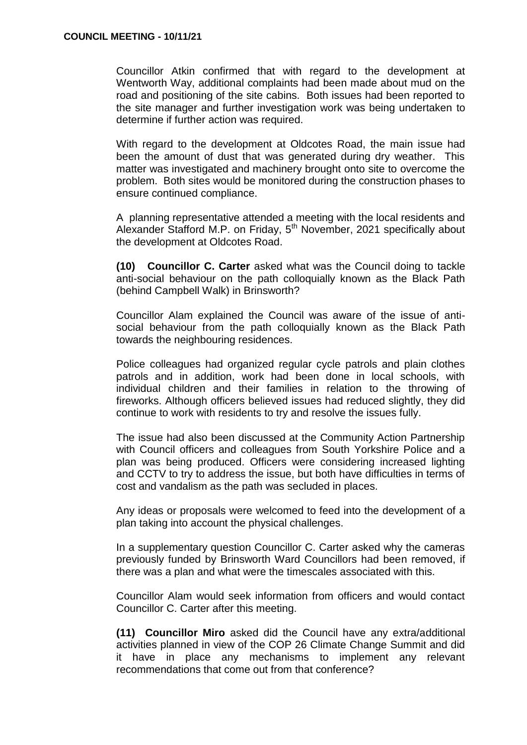Councillor Atkin confirmed that with regard to the development at Wentworth Way, additional complaints had been made about mud on the road and positioning of the site cabins. Both issues had been reported to the site manager and further investigation work was being undertaken to determine if further action was required.

With regard to the development at Oldcotes Road, the main issue had been the amount of dust that was generated during dry weather. This matter was investigated and machinery brought onto site to overcome the problem. Both sites would be monitored during the construction phases to ensure continued compliance.

A planning representative attended a meeting with the local residents and Alexander Stafford M.P. on Friday, 5<sup>th</sup> November, 2021 specifically about the development at Oldcotes Road.

**(10) Councillor C. Carter** asked what was the Council doing to tackle anti-social behaviour on the path colloquially known as the Black Path (behind Campbell Walk) in Brinsworth?

Councillor Alam explained the Council was aware of the issue of antisocial behaviour from the path colloquially known as the Black Path towards the neighbouring residences.

Police colleagues had organized regular cycle patrols and plain clothes patrols and in addition, work had been done in local schools, with individual children and their families in relation to the throwing of fireworks. Although officers believed issues had reduced slightly, they did continue to work with residents to try and resolve the issues fully.

The issue had also been discussed at the Community Action Partnership with Council officers and colleagues from South Yorkshire Police and a plan was being produced. Officers were considering increased lighting and CCTV to try to address the issue, but both have difficulties in terms of cost and vandalism as the path was secluded in places.

Any ideas or proposals were welcomed to feed into the development of a plan taking into account the physical challenges.

In a supplementary question Councillor C. Carter asked why the cameras previously funded by Brinsworth Ward Councillors had been removed, if there was a plan and what were the timescales associated with this.

Councillor Alam would seek information from officers and would contact Councillor C. Carter after this meeting.

**(11) Councillor Miro** asked did the Council have any extra/additional activities planned in view of the COP 26 Climate Change Summit and did it have in place any mechanisms to implement any relevant recommendations that come out from that conference?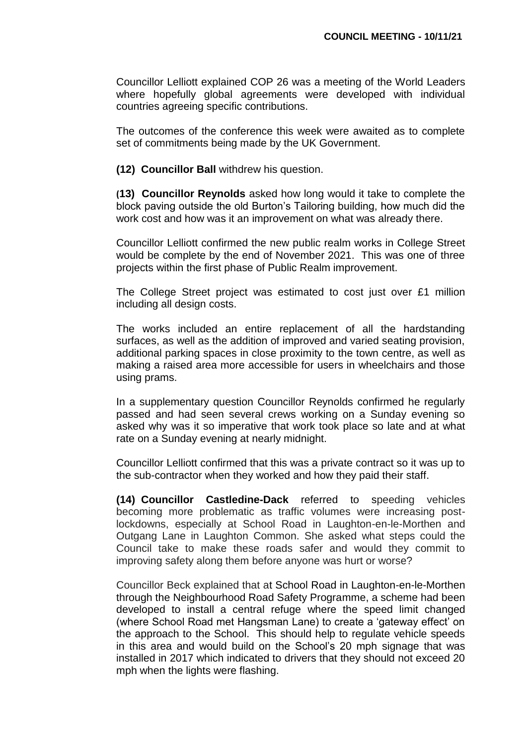Councillor Lelliott explained COP 26 was a meeting of the World Leaders where hopefully global agreements were developed with individual countries agreeing specific contributions.

The outcomes of the conference this week were awaited as to complete set of commitments being made by the UK Government.

**(12) Councillor Ball** withdrew his question.

**(13) Councillor Reynolds** asked how long would it take to complete the block paving outside the old Burton's Tailoring building, how much did the work cost and how was it an improvement on what was already there.

Councillor Lelliott confirmed the new public realm works in College Street would be complete by the end of November 2021. This was one of three projects within the first phase of Public Realm improvement.

The College Street project was estimated to cost just over £1 million including all design costs.

The works included an entire replacement of all the hardstanding surfaces, as well as the addition of improved and varied seating provision, additional parking spaces in close proximity to the town centre, as well as making a raised area more accessible for users in wheelchairs and those using prams.

In a supplementary question Councillor Reynolds confirmed he regularly passed and had seen several crews working on a Sunday evening so asked why was it so imperative that work took place so late and at what rate on a Sunday evening at nearly midnight.

Councillor Lelliott confirmed that this was a private contract so it was up to the sub-contractor when they worked and how they paid their staff.

**(14) Councillor Castledine-Dack** referred to speeding vehicles becoming more problematic as traffic volumes were increasing postlockdowns, especially at School Road in Laughton-en-le-Morthen and Outgang Lane in Laughton Common. She asked what steps could the Council take to make these roads safer and would they commit to improving safety along them before anyone was hurt or worse?

Councillor Beck explained that at School Road in Laughton-en-le-Morthen through the Neighbourhood Road Safety Programme, a scheme had been developed to install a central refuge where the speed limit changed (where School Road met Hangsman Lane) to create a 'gateway effect' on the approach to the School. This should help to regulate vehicle speeds in this area and would build on the School's 20 mph signage that was installed in 2017 which indicated to drivers that they should not exceed 20 mph when the lights were flashing.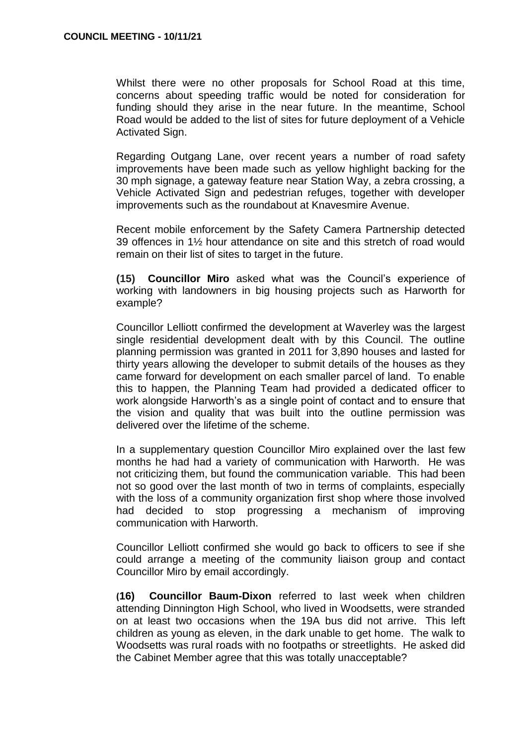Whilst there were no other proposals for School Road at this time, concerns about speeding traffic would be noted for consideration for funding should they arise in the near future. In the meantime, School Road would be added to the list of sites for future deployment of a Vehicle Activated Sign.

Regarding Outgang Lane, over recent years a number of road safety improvements have been made such as yellow highlight backing for the 30 mph signage, a gateway feature near Station Way, a zebra crossing, a Vehicle Activated Sign and pedestrian refuges, together with developer improvements such as the roundabout at Knavesmire Avenue.

Recent mobile enforcement by the Safety Camera Partnership detected 39 offences in 1½ hour attendance on site and this stretch of road would remain on their list of sites to target in the future.

**(15) Councillor Miro** asked what was the Council's experience of working with landowners in big housing projects such as Harworth for example?

Councillor Lelliott confirmed the development at Waverley was the largest single residential development dealt with by this Council. The outline planning permission was granted in 2011 for 3,890 houses and lasted for thirty years allowing the developer to submit details of the houses as they came forward for development on each smaller parcel of land. To enable this to happen, the Planning Team had provided a dedicated officer to work alongside Harworth's as a single point of contact and to ensure that the vision and quality that was built into the outline permission was delivered over the lifetime of the scheme.

In a supplementary question Councillor Miro explained over the last few months he had had a variety of communication with Harworth. He was not criticizing them, but found the communication variable. This had been not so good over the last month of two in terms of complaints, especially with the loss of a community organization first shop where those involved had decided to stop progressing a mechanism of improving communication with Harworth.

Councillor Lelliott confirmed she would go back to officers to see if she could arrange a meeting of the community liaison group and contact Councillor Miro by email accordingly.

**(16) Councillor Baum-Dixon** referred to last week when children attending Dinnington High School, who lived in Woodsetts, were stranded on at least two occasions when the 19A bus did not arrive. This left children as young as eleven, in the dark unable to get home. The walk to Woodsetts was rural roads with no footpaths or streetlights. He asked did the Cabinet Member agree that this was totally unacceptable?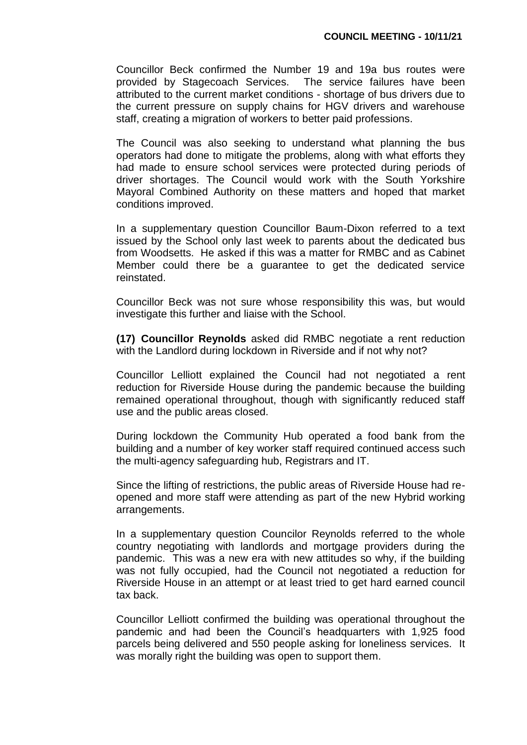Councillor Beck confirmed the Number 19 and 19a bus routes were provided by Stagecoach Services. The service failures have been attributed to the current market conditions - shortage of bus drivers due to the current pressure on supply chains for HGV drivers and warehouse staff, creating a migration of workers to better paid professions.

The Council was also seeking to understand what planning the bus operators had done to mitigate the problems, along with what efforts they had made to ensure school services were protected during periods of driver shortages. The Council would work with the South Yorkshire Mayoral Combined Authority on these matters and hoped that market conditions improved.

In a supplementary question Councillor Baum-Dixon referred to a text issued by the School only last week to parents about the dedicated bus from Woodsetts. He asked if this was a matter for RMBC and as Cabinet Member could there be a guarantee to get the dedicated service reinstated.

Councillor Beck was not sure whose responsibility this was, but would investigate this further and liaise with the School.

**(17) Councillor Reynolds** asked did RMBC negotiate a rent reduction with the Landlord during lockdown in Riverside and if not why not?

Councillor Lelliott explained the Council had not negotiated a rent reduction for Riverside House during the pandemic because the building remained operational throughout, though with significantly reduced staff use and the public areas closed.

During lockdown the Community Hub operated a food bank from the building and a number of key worker staff required continued access such the multi-agency safeguarding hub, Registrars and IT.

Since the lifting of restrictions, the public areas of Riverside House had reopened and more staff were attending as part of the new Hybrid working arrangements.

In a supplementary question Councilor Reynolds referred to the whole country negotiating with landlords and mortgage providers during the pandemic. This was a new era with new attitudes so why, if the building was not fully occupied, had the Council not negotiated a reduction for Riverside House in an attempt or at least tried to get hard earned council tax back.

Councillor Lelliott confirmed the building was operational throughout the pandemic and had been the Council's headquarters with 1,925 food parcels being delivered and 550 people asking for loneliness services. It was morally right the building was open to support them.